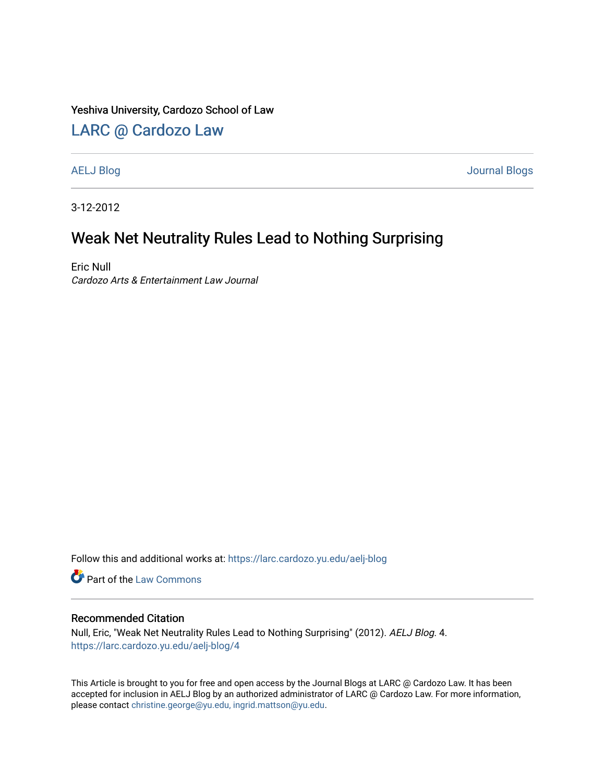#### Yeshiva University, Cardozo School of Law

### [LARC @ Cardozo Law](https://larc.cardozo.yu.edu/)

[AELJ Blog](https://larc.cardozo.yu.edu/aelj-blog) [Journal Blogs](https://larc.cardozo.yu.edu/journal-blogs) 

3-12-2012

## Weak Net Neutrality Rules Lead to Nothing Surprising

Eric Null Cardozo Arts & Entertainment Law Journal

Follow this and additional works at: [https://larc.cardozo.yu.edu/aelj-blog](https://larc.cardozo.yu.edu/aelj-blog?utm_source=larc.cardozo.yu.edu%2Faelj-blog%2F4&utm_medium=PDF&utm_campaign=PDFCoverPages) 

Part of the [Law Commons](http://network.bepress.com/hgg/discipline/578?utm_source=larc.cardozo.yu.edu%2Faelj-blog%2F4&utm_medium=PDF&utm_campaign=PDFCoverPages)

#### Recommended Citation

Null, Eric, "Weak Net Neutrality Rules Lead to Nothing Surprising" (2012). AELJ Blog. 4. [https://larc.cardozo.yu.edu/aelj-blog/4](https://larc.cardozo.yu.edu/aelj-blog/4?utm_source=larc.cardozo.yu.edu%2Faelj-blog%2F4&utm_medium=PDF&utm_campaign=PDFCoverPages) 

This Article is brought to you for free and open access by the Journal Blogs at LARC @ Cardozo Law. It has been accepted for inclusion in AELJ Blog by an authorized administrator of LARC @ Cardozo Law. For more information, please contact [christine.george@yu.edu, ingrid.mattson@yu.edu.](mailto:christine.george@yu.edu,%20ingrid.mattson@yu.edu)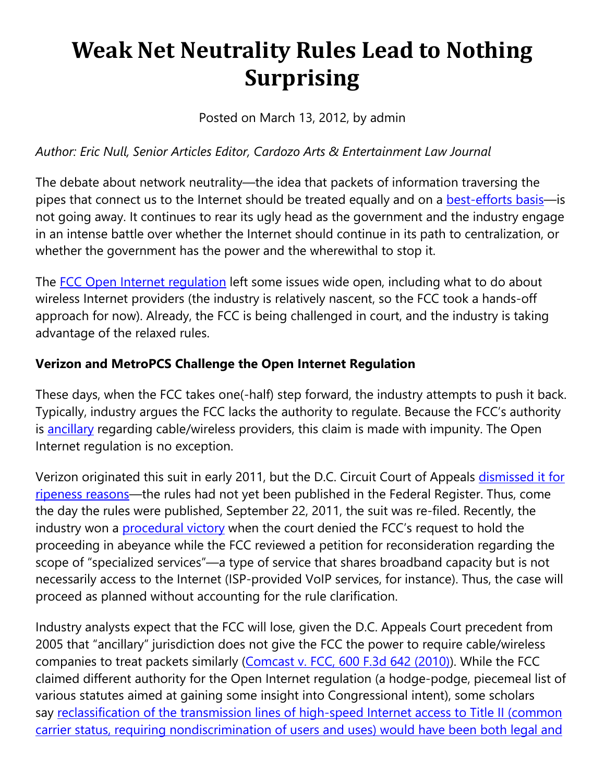# **Weak Net Neutrality Rules Lead to Nothing Surprising**

Posted on March 13, 2012, by admin

## *Author: Eric Null, Senior Articles Editor, Cardozo Arts & Entertainment Law Journal*

The debate about network neutrality—the idea that packets of information traversing the pipes that connect us to the Internet should be treated equally and on a **best-efforts basis**—is not going away. It continues to rear its ugly head as the government and the industry engage in an intense battle over whether the Internet should continue in its path to centralization, or whether the government has the power and the wherewithal to stop it.

The [FCC Open Internet regulation](https://cardozoaelj.com/weak-net-neutrality-rules-lead-to-nothing-surprising/%E2%80%9Chttp:/transition.fcc.gov/Daily_Releases/Daily_Business/2010/db1223/FCC-10-201A1.pdf%E2%80%9D) left some issues wide open, including what to do about wireless Internet providers (the industry is relatively nascent, so the FCC took a hands-off approach for now). Already, the FCC is being challenged in court, and the industry is taking advantage of the relaxed rules.

### **Verizon and MetroPCS Challenge the Open Internet Regulation**

These days, when the FCC takes one(-half) step forward, the industry attempts to push it back. Typically, industry argues the FCC lacks the authority to regulate. Because the FCC's authority is [ancillary](https://cardozoaelj.com/weak-net-neutrality-rules-lead-to-nothing-surprising/%E2%80%9Chttp:/www.law.cornell.edu/uscode/text/47/154%E2%80%9D) regarding cable/wireless providers, this claim is made with impunity. The Open Internet regulation is no exception.

Verizon originated this suit in early 2011, but the D.C. Circuit Court of Appeals dismissed it for [ripeness reasons—](https://cardozoaelj.com/weak-net-neutrality-rules-lead-to-nothing-surprising/%E2%80%9Chttp:/www.washingtonpost.com/blogs/post-tech/post/court-dismisses-verizon-lawsuit-against-fcc-net-neutrality-rules/2011/04/04/AFfxDNdC_blog.html%E2%80%9D)the rules had not yet been published in the Federal Register. Thus, come the day the rules were published, September 22, 2011, the suit was re-filed. Recently, the industry won a [procedural victory](https://cardozoaelj.com/weak-net-neutrality-rules-lead-to-nothing-surprising/%E2%80%9Chttp:/gigaom.com/broadband/its-baaaack-net-neutrality-to-get-its-day-in-court/%E2%80%9D) when the court denied the FCC's request to hold the proceeding in abeyance while the FCC reviewed a petition for reconsideration regarding the scope of "specialized services"—a type of service that shares broadband capacity but is not necessarily access to the Internet (ISP-provided VoIP services, for instance). Thus, the case will proceed as planned without accounting for the rule clarification.

Industry analysts expect that the FCC will lose, given the D.C. Appeals Court precedent from 2005 that "ancillary" jurisdiction does not give the FCC the power to require cable/wireless companies to treat packets similarly [\(Comcast v. FCC, 600 F.3d 642 \(2010\)\)](https://cardozoaelj.com/weak-net-neutrality-rules-lead-to-nothing-surprising/%E2%80%9Chttp:/hraunfoss.fcc.gov/edocs_public/attachmatch/DOC-297356A1.pdf%E2%80%9D). While the FCC claimed different authority for the Open Internet regulation (a hodge-podge, piecemeal list of various statutes aimed at gaining some insight into Congressional intent), some scholars say reclassification of the transmission lines of high-speed Internet access to Title II (common [carrier status, requiring nondiscrimination of users and uses\) would have been both legal and](https://cardozoaelj.com/weak-net-neutrality-rules-lead-to-nothing-surprising/%E2%80%9Chttp:/www.freepress.net/files/Crawford_Ammori_Wu_Letter.pdf%E2%80%9D)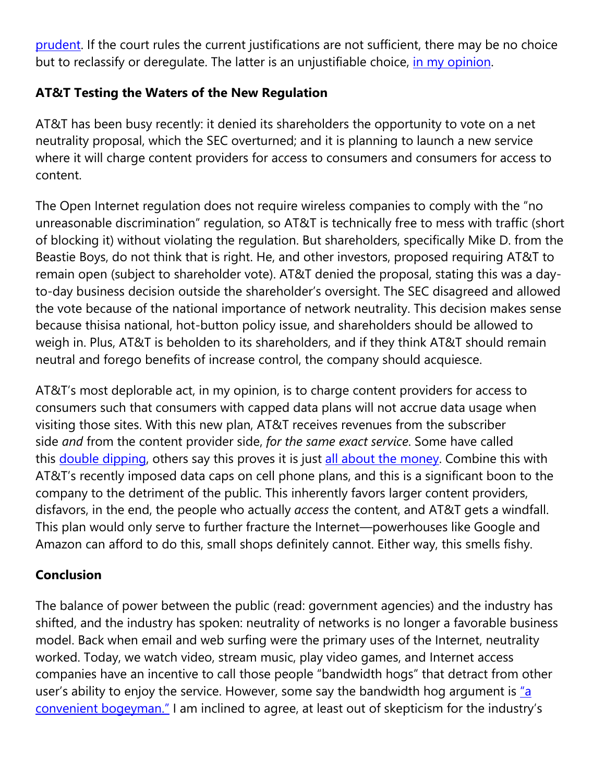[prudent.](https://cardozoaelj.com/weak-net-neutrality-rules-lead-to-nothing-surprising/%E2%80%9Chttp:/www.freepress.net/files/Crawford_Ammori_Wu_Letter.pdf%E2%80%9D) If the court rules the current justifications are not sufficient, there may be no choice but to reclassify or deregulate. The latter is an unjustifiable choice, [in my opinion.](https://cardozoaelj.com/weak-net-neutrality-rules-lead-to-nothing-surprising/%E2%80%9Chttp:/papers.ssrn.com/sol3/papers.cfm?abstract_id=1946266%E2%80%9D)

#### **AT&T Testing the Waters of the New Regulation**

AT&T has been busy recently: it denied its shareholders the opportunity to vote on a net neutrality proposal, which the SEC overturned; and it is planning to launch a new service where it will charge content providers for access to consumers and consumers for access to content.

The Open Internet regulation does not require wireless companies to comply with the "no unreasonable discrimination" regulation, so AT&T is technically free to mess with traffic (short of blocking it) without violating the regulation. But shareholders, specifically Mike D. from the Beastie Boys, do not think that is right. He, and other investors, proposed requiring AT&T to remain open (subject to shareholder vote). AT&T denied the proposal, stating this was a dayto-day business decision outside the shareholder's oversight. The SEC disagreed and allowed the vote because of the national importance of network neutrality. This decision makes sense because thisisa national, hot-button policy issue, and shareholders should be allowed to weigh in. Plus, AT&T is beholden to its shareholders, and if they think AT&T should remain neutral and forego benefits of increase control, the company should acquiesce.

AT&T's most deplorable act, in my opinion, is to charge content providers for access to consumers such that consumers with capped data plans will not accrue data usage when visiting those sites. With this new plan, AT&T receives revenues from the subscriber side *and* from the content provider side, *for the same exact service*. Some have called this [double dipping,](https://cardozoaelj.com/weak-net-neutrality-rules-lead-to-nothing-surprising/%E2%80%9Chttp:/www.forbes.com/sites/ewanspence/2012/02/27/att-looking-to-double-dip-on-mobile-data-charges/%E2%80%9D) others say this proves it is just [all about the money.](https://cardozoaelj.com/weak-net-neutrality-rules-lead-to-nothing-surprising/%E2%80%9Chttp:/mediamatters.org/blog/201202290012%E2%80%9D) Combine this with AT&T's recently imposed data caps on cell phone plans, and this is a significant boon to the company to the detriment of the public. This inherently favors larger content providers, disfavors, in the end, the people who actually *access* the content, and AT&T gets a windfall. This plan would only serve to further fracture the Internet—powerhouses like Google and Amazon can afford to do this, small shops definitely cannot. Either way, this smells fishy.

#### **Conclusion**

The balance of power between the public (read: government agencies) and the industry has shifted, and the industry has spoken: neutrality of networks is no longer a favorable business model. Back when email and web surfing were the primary uses of the Internet, neutrality worked. Today, we watch video, stream music, play video games, and Internet access companies have an incentive to call those people "bandwidth hogs" that detract from other user's ability to enjoy the service. However, some say the bandwidth hog argument is ["a](https://cardozoaelj.com/weak-net-neutrality-rules-lead-to-nothing-surprising/%E2%80%9Chttp:/www.techdirt.com/articles/20111204/02082216966/new-report-debunks-bandwidth-hog-myth.shtml%E2%80%9D)  [convenient bogeyman."](https://cardozoaelj.com/weak-net-neutrality-rules-lead-to-nothing-surprising/%E2%80%9Chttp:/www.techdirt.com/articles/20111204/02082216966/new-report-debunks-bandwidth-hog-myth.shtml%E2%80%9D) I am inclined to agree, at least out of skepticism for the industry's